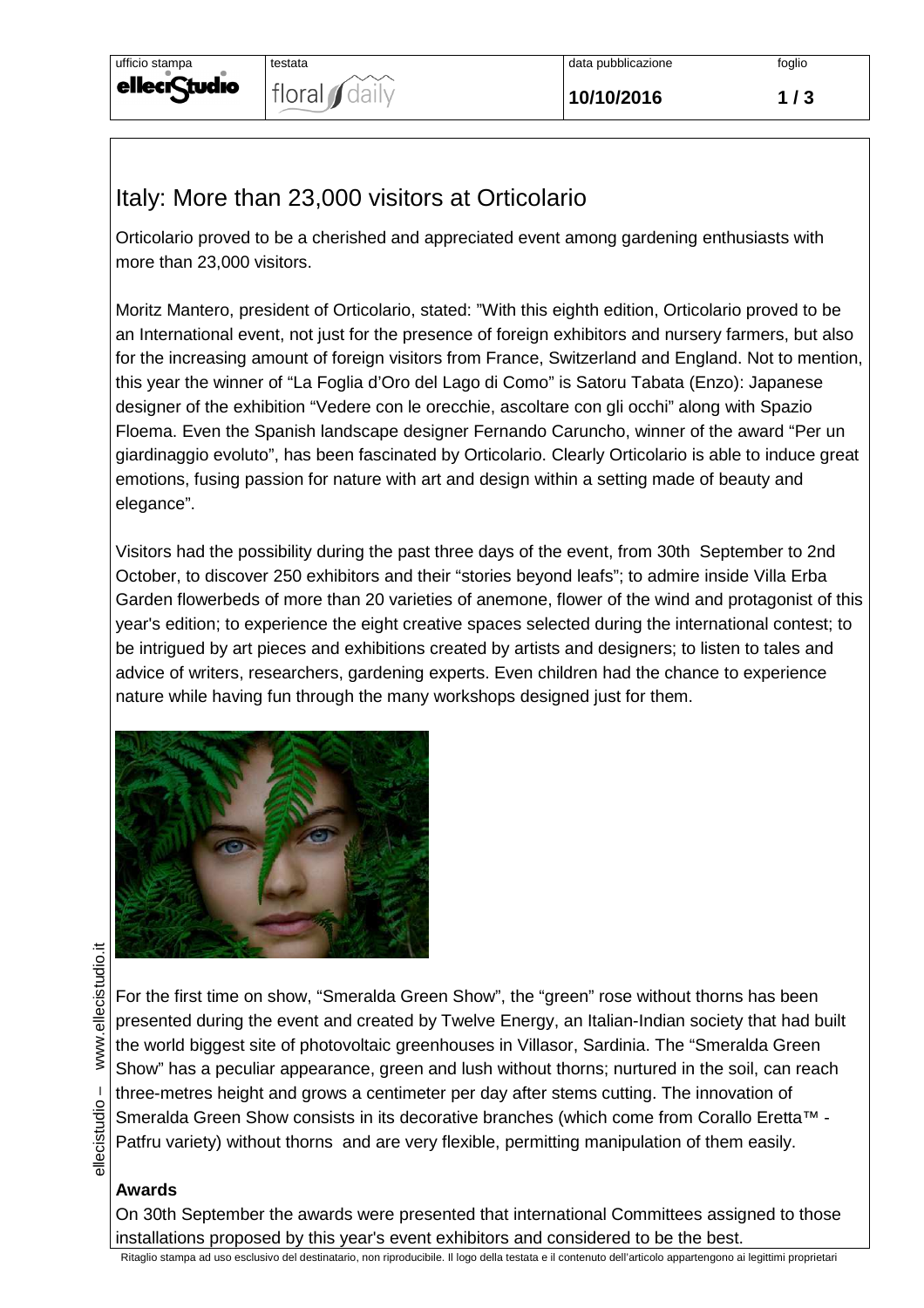

## Italy: More than 23,000 visitors at Orticolario

Orticolario proved to be a cherished and appreciated event among gardening enthusiasts with more than 23,000 visitors.

Moritz Mantero, president of Orticolario, stated: "With this eighth edition, Orticolario proved to be an International event, not just for the presence of foreign exhibitors and nursery farmers, but also for the increasing amount of foreign visitors from France, Switzerland and England. Not to mention, this year the winner of "La Foglia d'Oro del Lago di Como" is Satoru Tabata (Enzo): Japanese designer of the exhibition "Vedere con le orecchie, ascoltare con gli occhi" along with Spazio Floema. Even the Spanish landscape designer Fernando Caruncho, winner of the award "Per un giardinaggio evoluto", has been fascinated by Orticolario. Clearly Orticolario is able to induce great emotions, fusing passion for nature with art and design within a setting made of beauty and elegance".

Visitors had the possibility during the past three days of the event, from 30th September to 2nd October, to discover 250 exhibitors and their "stories beyond leafs"; to admire inside Villa Erba Garden flowerbeds of more than 20 varieties of anemone, flower of the wind and protagonist of this year's edition; to experience the eight creative spaces selected during the international contest; to be intrigued by art pieces and exhibitions created by artists and designers; to listen to tales and advice of writers, researchers, gardening experts. Even children had the chance to experience nature while having fun through the many workshops designed just for them.



For the first time on show, "Smeralda Green Show", the "green" rose without thorns has been presented during the event and created by Twelve Energy, an Italian-Indian society that had built the world biggest site of photovoltaic greenhouses in Villasor, Sardinia. The "Smeralda Green Show" has a peculiar appearance, green and lush without thorns; nurtured in the soil, can reach three-metres height and grows a centimeter per day after stems cutting. The innovation of Smeralda Green Show consists in its decorative branches (which come from Corallo Eretta™ -Patfru variety) without thorns and are very flexible, permitting manipulation of them easily.

## **Awards**

On 30th September the awards were presented that international Committees assigned to those installations proposed by this year's event exhibitors and considered to be the best.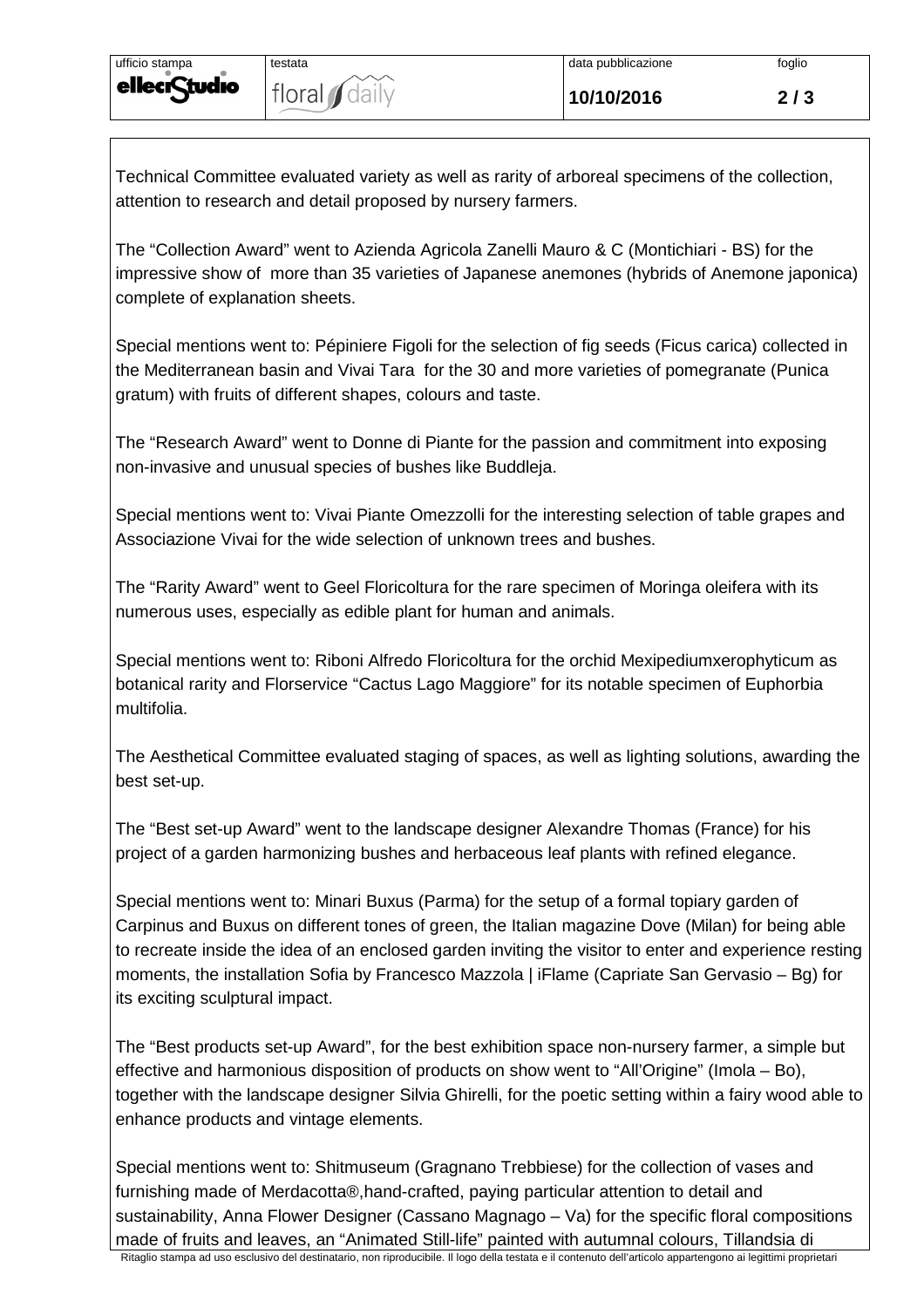Technical Committee evaluated variety as well as rarity of arboreal specimens of the collection, attention to research and detail proposed by nursery farmers.

The "Collection Award" went to Azienda Agricola Zanelli Mauro & C (Montichiari - BS) for the impressive show of more than 35 varieties of Japanese anemones (hybrids of Anemone japonica) complete of explanation sheets.

Special mentions went to: Pépiniere Figoli for the selection of fig seeds (Ficus carica) collected in the Mediterranean basin and Vivai Tara for the 30 and more varieties of pomegranate (Punica gratum) with fruits of different shapes, colours and taste.

The "Research Award" went to Donne di Piante for the passion and commitment into exposing non-invasive and unusual species of bushes like Buddleja.

Special mentions went to: Vivai Piante Omezzolli for the interesting selection of table grapes and Associazione Vivai for the wide selection of unknown trees and bushes.

The "Rarity Award" went to Geel Floricoltura for the rare specimen of Moringa oleifera with its numerous uses, especially as edible plant for human and animals.

Special mentions went to: Riboni Alfredo Floricoltura for the orchid Mexipediumxerophyticum as botanical rarity and Florservice "Cactus Lago Maggiore" for its notable specimen of Euphorbia multifolia.

The Aesthetical Committee evaluated staging of spaces, as well as lighting solutions, awarding the best set-up.

The "Best set-up Award" went to the landscape designer Alexandre Thomas (France) for his project of a garden harmonizing bushes and herbaceous leaf plants with refined elegance.

Special mentions went to: Minari Buxus (Parma) for the setup of a formal topiary garden of Carpinus and Buxus on different tones of green, the Italian magazine Dove (Milan) for being able to recreate inside the idea of an enclosed garden inviting the visitor to enter and experience resting moments, the installation Sofia by Francesco Mazzola | iFlame (Capriate San Gervasio – Bg) for its exciting sculptural impact.

The "Best products set-up Award", for the best exhibition space non-nursery farmer, a simple but effective and harmonious disposition of products on show went to "All'Origine" (Imola – Bo), together with the landscape designer Silvia Ghirelli, for the poetic setting within a fairy wood able to enhance products and vintage elements.

Special mentions went to: Shitmuseum (Gragnano Trebbiese) for the collection of vases and furnishing made of Merdacotta®,hand-crafted, paying particular attention to detail and sustainability, Anna Flower Designer (Cassano Magnago – Va) for the specific floral compositions made of fruits and leaves, an "Animated Still-life" painted with autumnal colours, Tillandsia di